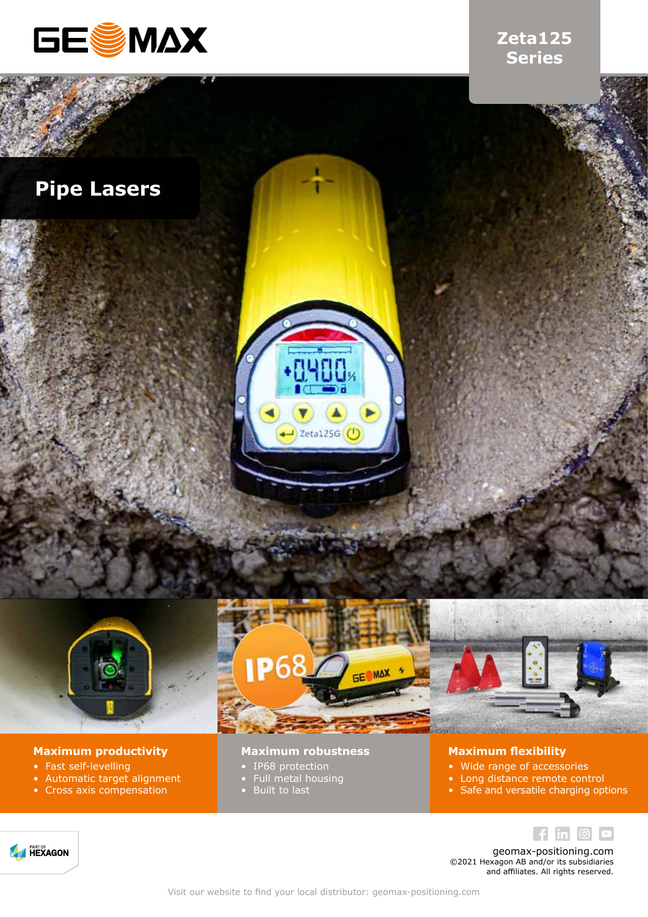

## **Zeta125 Series**





#### **Maximum productivity**

• Fast self-levelling

**A HEXAGON** 

- Automatic target alignment
- Cross axis compensation



#### **Maximum robustness**

- IP68 protection
- Full metal housing
- Built to last



#### **Maximum flexibility**

- Wide range of accessories
- Long distance remote control
- Safe and versatile charging options



geomax-positioning.com ©2021 Hexagon AB and/or its subsidiaries and affiliates. All rights reserved.